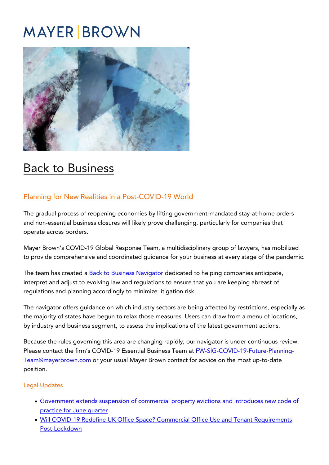## **MAYER BROWN**



## [Back to Business](https://covid19.mayerbrown.com/covid-19-back-to-business/)

## Planning for New Realities in a Post-COVID-19 World

The gradual process of reopening economies by lifting government-mandated stay-at-home orders and non-essential business closures will likely prove challenging, particularly for companies that operate across borders.

Mayer Brown's COVID-19 Global Response Team, a multidisciplinary group of lawyers, has mobilized to provide comprehensive and coordinated guidance for your business at every stage of the pandemic.

The team has created a [Back to Business Navigator](https://nam01.safelinks.protection.outlook.com/?url=https%3A%2F%2Fcovid19.mayerbrown.com%2Fessential_business_navigator_us%2F&data=01%7C01%7Cldavis%40mayerbrown.com%7Cceeb9f8c32c140add78b08d7f12060f5%7C09131022b7854e6d8d42916975e51262%7C0&sdata=mgW2CPyml2361HNGJoaKeH1w6TBKlQBa%2BlOFnc%2B%2BmG8%3D&reserved=0) dedicated to helping companies anticipate, interpret and adjust to evolving law and regulations to ensure that you are keeping abreast of regulations and planning accordingly to minimize litigation risk.

The navigator offers guidance on which industry sectors are being affected by restrictions, especially as the majority of states have begun to relax those measures. Users can draw from a menu of locations, by industry and business segment, to assess the implications of the latest government actions.

Because the rules governing this area are changing rapidly, our navigator is under continuous review. Please contact the firm's COVID-19 Essential Business Team at [FW-SIG-COVID-19-Future-Planning-](https://covid19.mayerbrown.com/FW-SIG-COVID-19-Future-Planning-Team@mayerbrown.com)[Team@mayerbrown.com](https://covid19.mayerbrown.com/FW-SIG-COVID-19-Future-Planning-Team@mayerbrown.com) or your usual Mayer Brown contact for advice on the most up-to-date position.

## Legal Updates

- [Government extends suspension of commercial property evictions and introduces new code of](https://covid19.mayerbrown.com/real-estate-government-extends-suspension-of-commercial-property-evictions-and-introduces-new-code-of-practice-for-june-quarter/) [practice for June quarter](https://covid19.mayerbrown.com/real-estate-government-extends-suspension-of-commercial-property-evictions-and-introduces-new-code-of-practice-for-june-quarter/)
- [Will COVID-19 Redefine UK Office Space? Commercial Office Use and Tenant Requirements](https://covid19.mayerbrown.com/real-estate-will-covid-19-redefine-uk-office-space-commercial-office-use-and-tenant-requirements-post-lockdown/) [Post-Lockdown](https://covid19.mayerbrown.com/real-estate-will-covid-19-redefine-uk-office-space-commercial-office-use-and-tenant-requirements-post-lockdown/)